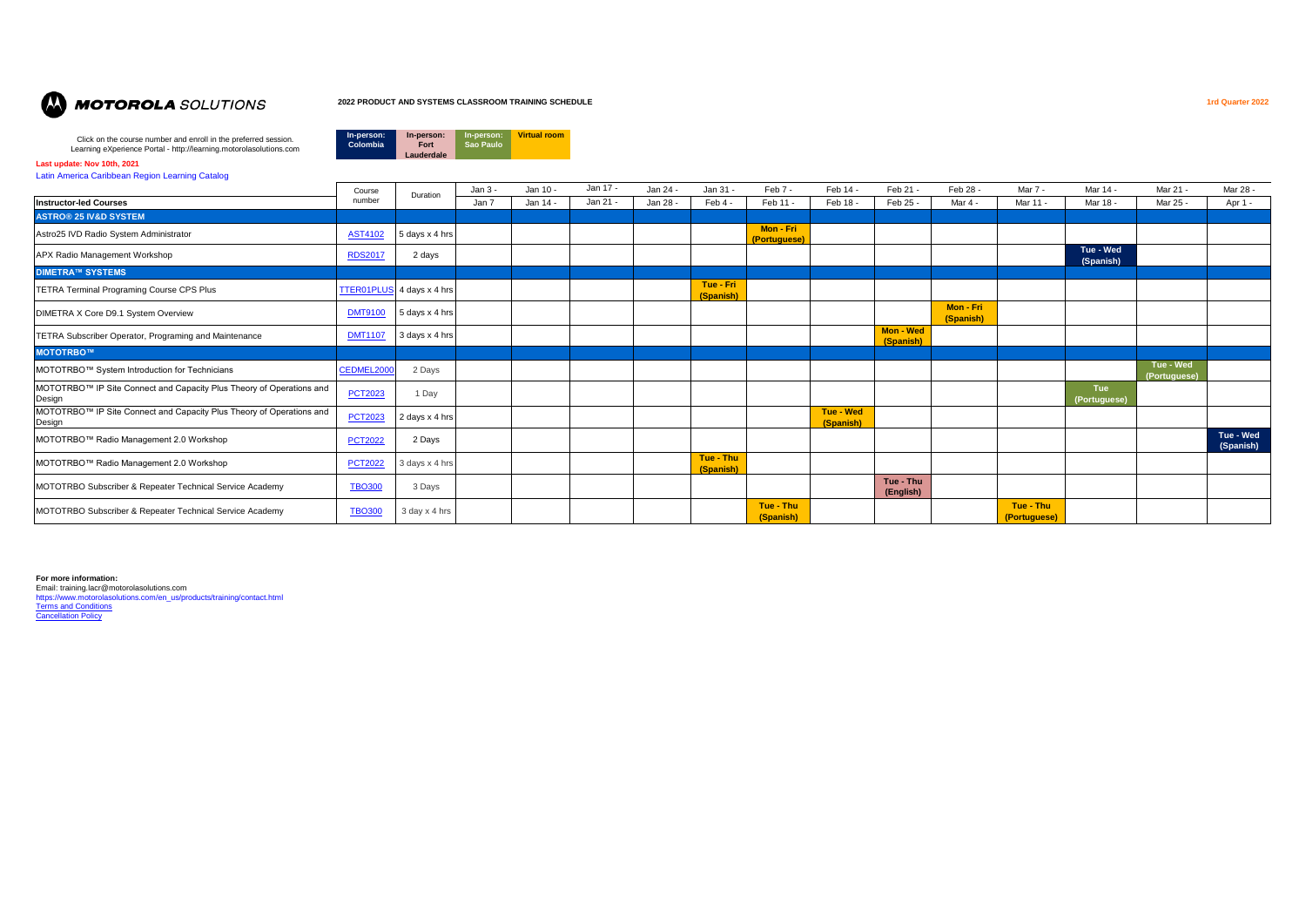

#### **2022 PRODUCT AND SYSTEMS CLASSROOM TRAINING SCHEDULE 1rd Quarter 2022**

**In-person: Fort Lauderdale**

**In-person: Sao Paulo**

**Virtual room**

**In-person: Colombia**

Click on the course number and enroll in the preferred session. Learning eXperience Portal - http://learning.motorolasolutions.com

#### **Last update: Nov 10th, 2021**

[Latin America Caribbean Region Learning Catalog](https://learning.motorolasolutions.com/catalog/60178enus)

|                                                                                | Course         | Duration       | Jan 3 - | Jan 10 - | Jan 17 - | Jan 24 - | Jan 31 -               | Feb 7 -                          | Feb 14 -               | Feb 21 -                      | Feb 28 -               | Mar 7 -                   | Mar 14 -               | Mar 21 -                  | Mar 28 -               |
|--------------------------------------------------------------------------------|----------------|----------------|---------|----------|----------|----------|------------------------|----------------------------------|------------------------|-------------------------------|------------------------|---------------------------|------------------------|---------------------------|------------------------|
| <b>Instructor-led Courses</b>                                                  | number         |                | Jan 7   | Jan 14 - | Jan 21 - | Jan 28 - | Feb 4 -                | Feb 11 -                         | Feb 18 -               | Feb 25 -                      | Mar 4 -                | Mar 11 -                  | Mar 18 -               | Mar 25 -                  | Apr 1 -                |
| <b>ASTRO® 25 IV&amp;D SYSTEM</b>                                               |                |                |         |          |          |          |                        |                                  |                        |                               |                        |                           |                        |                           |                        |
| Astro25 IVD Radio System Administrator                                         | <b>AST4102</b> | 5 days x 4 hrs |         |          |          |          |                        | Mon - Fri<br><i>(Portuguese)</i> |                        |                               |                        |                           |                        |                           |                        |
| APX Radio Management Workshop                                                  | <b>RDS2017</b> | 2 days         |         |          |          |          |                        |                                  |                        |                               |                        |                           | Tue - Wed<br>(Spanish) |                           |                        |
| <b>DIMETRA™ SYSTEMS</b>                                                        |                |                |         |          |          |          |                        |                                  |                        |                               |                        |                           |                        |                           |                        |
| TETRA Terminal Programing Course CPS Plus                                      | TTER01PLU      | 4 days x 4 hrs |         |          |          |          | Tue - Fri<br>(Spanish) |                                  |                        |                               |                        |                           |                        |                           |                        |
| DIMETRA X Core D9.1 System Overview                                            | <b>DMT9100</b> | 5 days x 4 hrs |         |          |          |          |                        |                                  |                        |                               | Mon - Fri<br>(Spanish) |                           |                        |                           |                        |
| <b>TETRA Subscriber Operator, Programing and Maintenance</b>                   | <b>DMT1107</b> | 3 days x 4 hrs |         |          |          |          |                        |                                  |                        | <b>Mon - Wed</b><br>(Spanish) |                        |                           |                        |                           |                        |
| <b>MOTOTRBO™</b>                                                               |                |                |         |          |          |          |                        |                                  |                        |                               |                        |                           |                        |                           |                        |
| MOTOTRBO™ System Introduction for Technicians                                  | CEDMEL2000     | 2 Days         |         |          |          |          |                        |                                  |                        |                               |                        |                           |                        | Tue - Wed<br>(Portuguese) |                        |
| MOTOTRBO™ IP Site Connect and Capacity Plus Theory of Operations and<br>Design | <b>PCT2023</b> | 1 Day          |         |          |          |          |                        |                                  |                        |                               |                        |                           | Tue<br>(Portuguese)    |                           |                        |
| MOTOTRBO™ IP Site Connect and Capacity Plus Theory of Operations and<br>Design | <b>PCT2023</b> | 2 days x 4 hrs |         |          |          |          |                        |                                  | Tue - Wed<br>(Spanish) |                               |                        |                           |                        |                           |                        |
| MOTOTRBO™ Radio Management 2.0 Workshop                                        | <b>PCT2022</b> | 2 Days         |         |          |          |          |                        |                                  |                        |                               |                        |                           |                        |                           | Tue - Wed<br>(Spanish) |
| MOTOTRBO™ Radio Management 2.0 Workshop                                        | <b>PCT2022</b> | 3 days x 4 hrs |         |          |          |          | Tue - Thu<br>(Spanish) |                                  |                        |                               |                        |                           |                        |                           |                        |
| MOTOTRBO Subscriber & Repeater Technical Service Academy                       | <b>TBO300</b>  | 3 Days         |         |          |          |          |                        |                                  |                        | Tue - Thu<br>(English)        |                        |                           |                        |                           |                        |
| MOTOTRBO Subscriber & Repeater Technical Service Academy                       | <b>TBO300</b>  | 3 day x 4 hrs  |         |          |          |          |                        | Tue - Thu<br>(Spanish)           |                        |                               |                        | Tue - Thu<br>(Portuguese) |                        |                           |                        |

**For more information:**

Email: training.lacr@motorolasolutions.com [https://www.motorolasolutions.com/en\\_us/products/training/contact.html](https://www.motorolasolutions.com/en_us/products/training/contact.html) [Terms and Conditions](https://learning.motorolasolutions.com/content/terms-and-conditions) [Cancellation Policy](https://learning.motorolasolutions.com/content/cancellation-policy)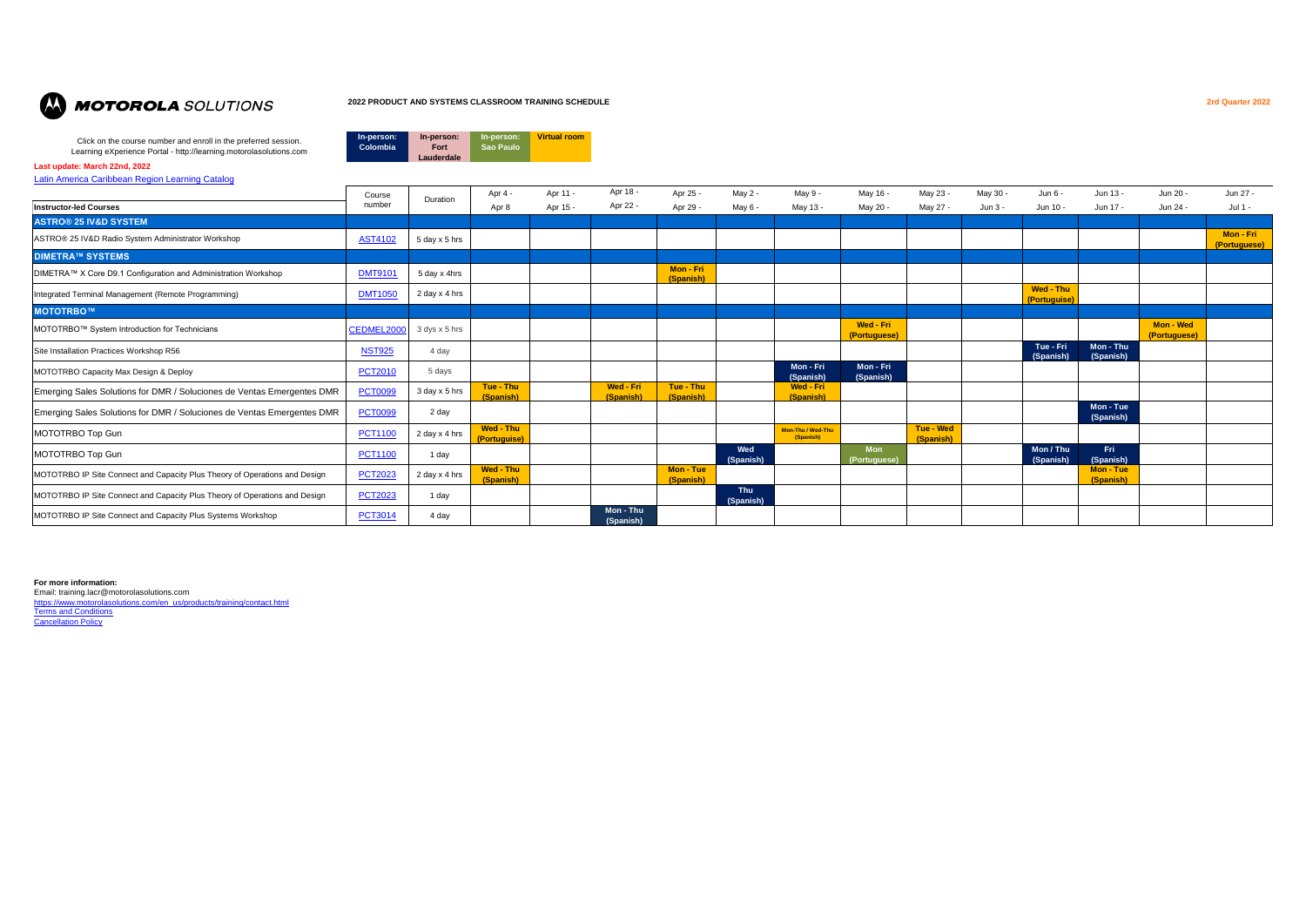

#### **2022 PRODUCT AND SYSTEMS CLASSROOM TRAINING SCHEDULE 2rd Quarter 2022**

**In-person: Sao Paulo**

**Virtual room**

**In-person: Fort Lauderdale**

**In-person: Colombia**

Click on the course number and enroll in the preferred session. Learning eXperience Portal - http://learning.motorolasolutions.com

**Last update: March 22nd, 2022**

[Latin America Caribbean Region Learning Catalog](https://learning.motorolasolutions.com/catalog/60178enus)

| <u> Latin America Canbbean Region Learning Catalog</u>                     |                |               |                           |          |                        |                        |                         |                                |                           |                        |          |                           |                        |                           |                           |
|----------------------------------------------------------------------------|----------------|---------------|---------------------------|----------|------------------------|------------------------|-------------------------|--------------------------------|---------------------------|------------------------|----------|---------------------------|------------------------|---------------------------|---------------------------|
|                                                                            | Course         | Duration      | Apr 4 -                   | Apr 11 - | Apr 18 -               | Apr 25 -               | May 2 -                 | May 9 -                        | May 16 -                  | May 23 -               | May 30 - | Jun 6 -                   | Jun 13 -               | Jun 20 -                  | Jun 27 -                  |
| <b>Instructor-led Courses</b>                                              | number         |               | Apr 8                     | Apr 15 - | Apr 22 -               | Apr 29 -               | May 6 -                 | May 13 -                       | May 20 -                  | May 27 -               | Jun 3 -  | Jun 10 -                  | Jun 17 -               | Jun 24 -                  | Jul $1 -$                 |
| <b>ASTRO® 25 IV&amp;D SYSTEM</b>                                           |                |               |                           |          |                        |                        |                         |                                |                           |                        |          |                           |                        |                           |                           |
| ASTRO® 25 IV&D Radio System Administrator Workshop                         | <b>AST4102</b> | 5 day x 5 hrs |                           |          |                        |                        |                         |                                |                           |                        |          |                           |                        |                           | Mon - Fri<br>(Portuguese) |
| <b>DIMETRA™ SYSTEMS</b>                                                    |                |               |                           |          |                        |                        |                         |                                |                           |                        |          |                           |                        |                           |                           |
| DIMETRA™ X Core D9.1 Configuration and Administration Workshop             | <b>DMT9101</b> | 5 day x 4hrs  |                           |          |                        | Mon - Fri<br>(Spanish) |                         |                                |                           |                        |          |                           |                        |                           |                           |
| Integrated Terminal Management (Remote Programming)                        | <b>DMT1050</b> | 2 day x 4 hrs |                           |          |                        |                        |                         |                                |                           |                        |          | Wed - Thu<br>(Portuguise) |                        |                           |                           |
| MOTOTRBO™                                                                  |                |               |                           |          |                        |                        |                         |                                |                           |                        |          |                           |                        |                           |                           |
| MOTOTRBO™ System Introduction for Technicians                              | CEDMEL2000     | 3 dys x 5 hrs |                           |          |                        |                        |                         |                                | Wed - Fri<br>(Portuguese) |                        |          |                           |                        | Mon - Wed<br>(Portuguese) |                           |
| Site Installation Practices Workshop R56                                   | <b>NST925</b>  | 4 day         |                           |          |                        |                        |                         |                                |                           |                        |          | Tue - Fri<br>(Spanish)    | Mon - Thu<br>(Spanish) |                           |                           |
| MOTOTRBO Capacity Max Design & Deploy                                      | <b>PCT2010</b> | 5 days        |                           |          |                        |                        |                         | Mon - Fri<br>(Spanish)         | Mon - Fri<br>(Spanish)    |                        |          |                           |                        |                           |                           |
| Emerging Sales Solutions for DMR / Soluciones de Ventas Emergentes DMR     | <b>PCT0099</b> | 3 day x 5 hrs | Tue - Thu<br>(Spanish)    |          | Wed - Fri<br>(Spanish) | Tue - Thu<br>(Spanish) |                         | Wed - Fri<br>(Spanish)         |                           |                        |          |                           |                        |                           |                           |
| Emerging Sales Solutions for DMR / Soluciones de Ventas Emergentes DMR     | <b>PCT0099</b> | 2 day         |                           |          |                        |                        |                         |                                |                           |                        |          |                           | Mon - Tue<br>(Spanish) |                           |                           |
| MOTOTRBO Top Gun                                                           | <b>PCT1100</b> | 2 day x 4 hrs | Wed - Thu<br>(Portuguise) |          |                        |                        |                         | Mon-Thu / Wed-Thu<br>(Spanish) |                           | Tue - Wed<br>(Spanish) |          |                           |                        |                           |                           |
| MOTOTRBO Top Gun                                                           | <b>PCT1100</b> | 1 day         |                           |          |                        |                        | Wed<br>(Spanish)        |                                | <b>Mon</b><br>(Portugues  |                        |          | Mon / Thu<br>(Spanish)    | Fri<br>(Spanish)       |                           |                           |
| MOTOTRBO IP Site Connect and Capacity Plus Theory of Operations and Design | <b>PCT2023</b> | 2 day x 4 hrs | Wed - Thu<br>(Spanish)    |          |                        | Mon - Tue<br>(Spanish) |                         |                                |                           |                        |          |                           | Mon - Tue<br>(Spanish) |                           |                           |
| MOTOTRBO IP Site Connect and Capacity Plus Theory of Operations and Design | <b>PCT2023</b> | 1 day         |                           |          |                        |                        | <b>Thu</b><br>(Spanish) |                                |                           |                        |          |                           |                        |                           |                           |
| MOTOTRBO IP Site Connect and Capacity Plus Systems Workshop                | <b>PCT3014</b> | 4 day         |                           |          | Mon - Thu<br>(Spanish) |                        |                         |                                |                           |                        |          |                           |                        |                           |                           |

#### **For more information:**

Email: training.lacr@motorolasolutions.com<br><u>[https://www.motorolasolutions.com/en\\_us/products/training/contact.html](https://www.motorolasolutions.com/en_us/products/training/contact.html)</u> [Terms and Conditions](https://learning.motorolasolutions.com/content/terms-and-conditions) **[Cancellation Policy](https://learning.motorolasolutions.com/content/cancellation-policy)**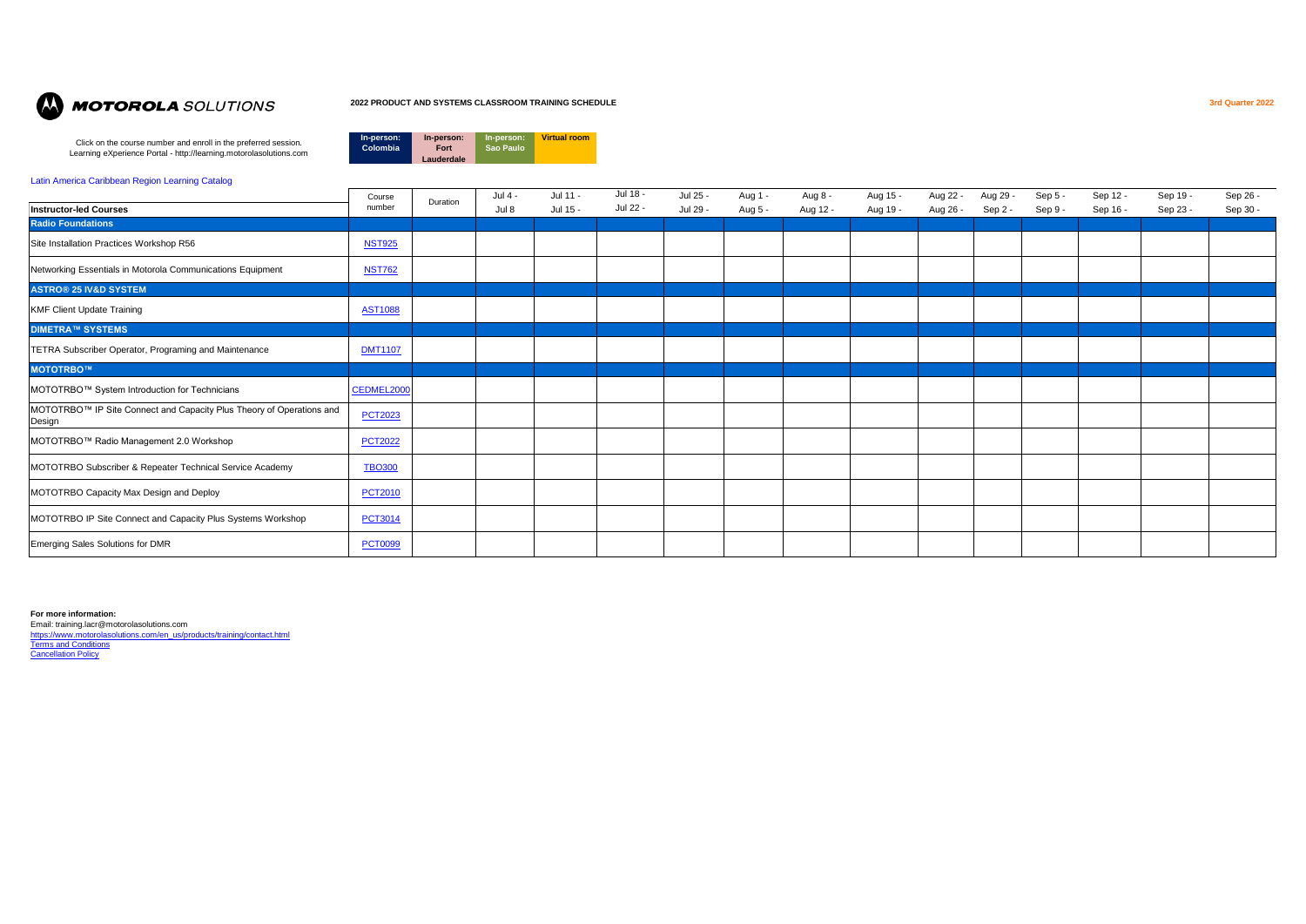

# **MOTOROLA** SOLUTIONS

### **2022 PRODUCT AND SYSTEMS CLASSROOM TRAINING SCHEDULE 3rd Quarter 2022**

Click on the course number and enroll in the preferred session. Learning eXperience Portal - http://learning.motorolasolutions.com



### [Latin America Caribbean Region Learning Catalog](https://learning.motorolasolutions.com/catalog/60178enus)

| Sep 19 -<br>Sep 26 - |
|----------------------|
| Sep 30 -<br>Sep 23 - |
|                      |
|                      |
|                      |
|                      |
|                      |
|                      |
|                      |
|                      |
|                      |
|                      |
|                      |
|                      |
|                      |
|                      |
|                      |
|                      |

**For more information:**

Email: training.lacr@motorolasolutions.com [https://www.motorolasolutions.com/en\\_us/products/training/contact.html](https://www.motorolasolutions.com/en_us/products/training/contact.html) **[Terms and Conditions](https://learning.motorolasolutions.com/content/terms-and-conditions) [Cancellation Policy](https://learning.motorolasolutions.com/content/cancellation-policy)**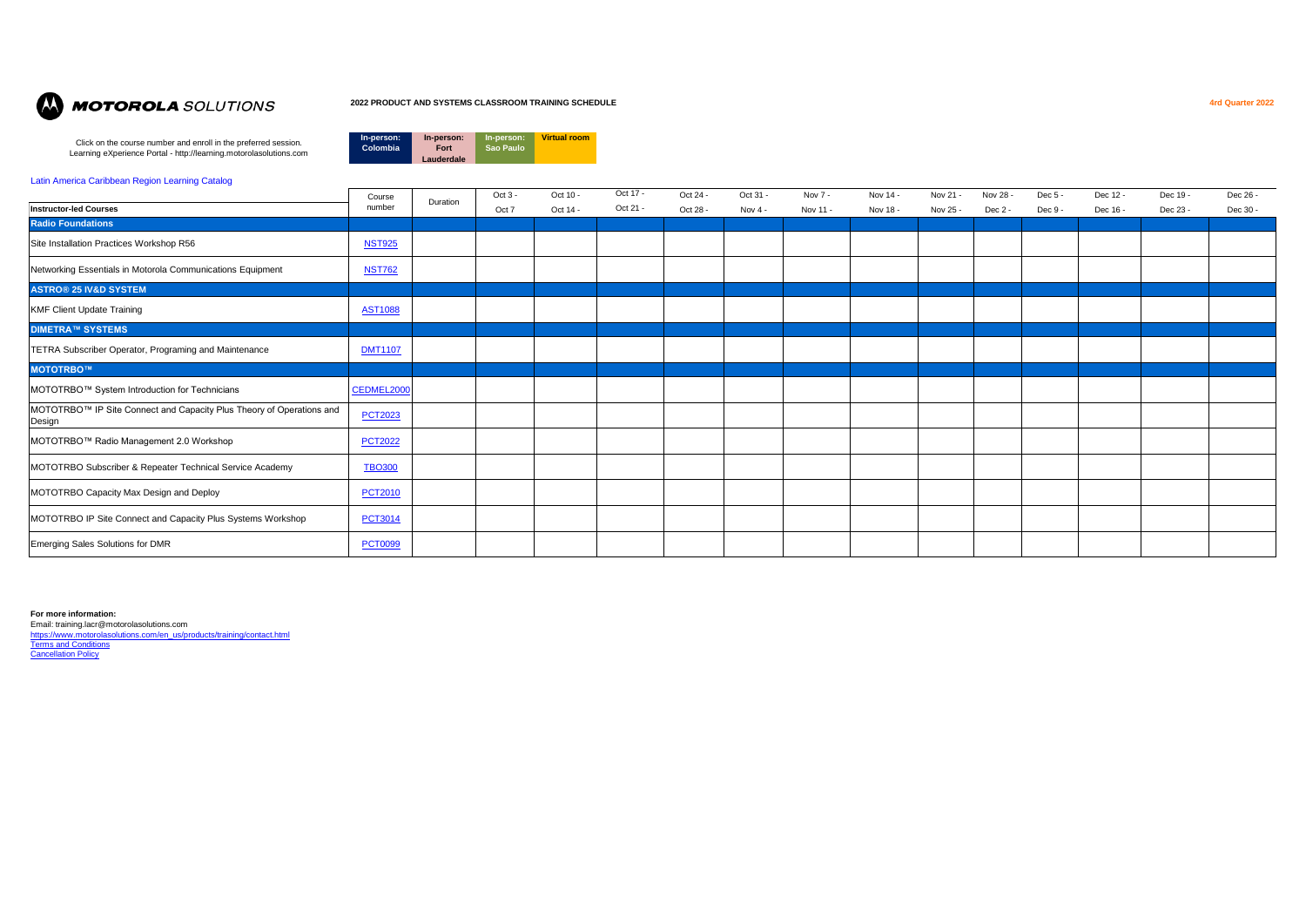

# **MOTOROLA** SOLUTIONS

### **2022 PRODUCT AND SYSTEMS CLASSROOM TRAINING SCHEDULE 4rd Quarter 2022**

Click on the course number and enroll in the preferred session. Learning eXperience Portal - http://learning.motorolasolutions.com



### [Latin America Caribbean Region Learning Catalog](https://learning.motorolasolutions.com/catalog/60178enus)

| Course<br>number | Oct 3 -  | Oct 10 - | Oct 17 - | Oct 24 - | Oct 31 -  | Nov 7 -  | Nov 14 - | Nov 21 - | Nov 28 - | $Dec 5 -$ | Dec 12 - | Dec 19 - | Dec 26 - |
|------------------|----------|----------|----------|----------|-----------|----------|----------|----------|----------|-----------|----------|----------|----------|
|                  | Oct 7    | Oct 14 - | Oct 21 - | Oct 28 - | Nov $4 -$ | Nov 11 - | Nov 18 - | Nov 25 - | Dec 2 -  | Dec 9 -   | Dec 16 - | Dec 23 - | Dec 30 - |
|                  |          |          |          |          |           |          |          |          |          |           |          |          |          |
| <b>NST925</b>    |          |          |          |          |           |          |          |          |          |           |          |          |          |
| <b>NST762</b>    |          |          |          |          |           |          |          |          |          |           |          |          |          |
|                  |          |          |          |          |           |          |          |          |          |           |          |          |          |
| <b>AST1088</b>   |          |          |          |          |           |          |          |          |          |           |          |          |          |
|                  |          |          |          |          |           |          |          |          |          |           |          |          |          |
| <b>DMT1107</b>   |          |          |          |          |           |          |          |          |          |           |          |          |          |
|                  |          |          |          |          |           |          |          |          |          |           |          |          |          |
| CEDMEL2000       |          |          |          |          |           |          |          |          |          |           |          |          |          |
| <b>PCT2023</b>   |          |          |          |          |           |          |          |          |          |           |          |          |          |
| <b>PCT2022</b>   |          |          |          |          |           |          |          |          |          |           |          |          |          |
| <b>TBO300</b>    |          |          |          |          |           |          |          |          |          |           |          |          |          |
| <b>PCT2010</b>   |          |          |          |          |           |          |          |          |          |           |          |          |          |
| <b>PCT3014</b>   |          |          |          |          |           |          |          |          |          |           |          |          |          |
| <b>PCT0099</b>   |          |          |          |          |           |          |          |          |          |           |          |          |          |
|                  | Duration |          |          |          |           |          |          |          |          |           |          |          |          |

**For more information:**

Email: training.lacr@motorolasolutions.com [https://www.motorolasolutions.com/en\\_us/products/training/contact.html](https://www.motorolasolutions.com/en_us/products/training/contact.html) **[Terms and Conditions](https://learning.motorolasolutions.com/content/terms-and-conditions) [Cancellation Policy](https://learning.motorolasolutions.com/content/cancellation-policy)**